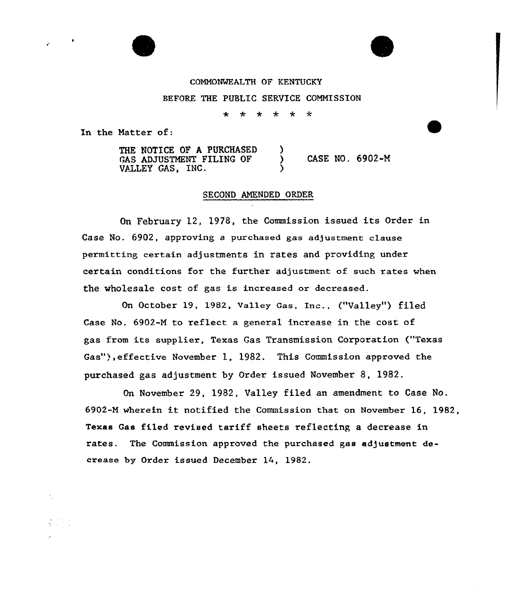

## COMNONMEALTH OF KENTUCKY

BEFORE THE PUBLIC SERVICE COMMISSION

 $\ddot{\textbf{r}}$  $\star$ \* \* \*  $\star$ 

In the Natter of:

THE NOTICE OF A PURCHASED )<br>GAS ADJUSTMENT FILING OF ) GAS ADJUSTMENT FILING OF ) CASE NO. 6902-M VALLEY GAS, INC.

## SECOND AMENDED ORDER

On February 12, 1978, the Commission issued its Order in Case No. 6902, approving a purchased gas adjustment clause permitting certain adjustments in rates and providing certain conditions for the further adjustment of such rates when the wholesale cost of gas is increased or decreased.

On October 19, 1982, Valley Gas, Inc., ("Valley") filed Case No. 6902-N to reflect a general increase in the cost of gas from its supplier, Texas Gas Transmission Corporation ("Texas Gas"),effective November 1, 1982, This Commission approved the purchased gas adjustment by Oxdex issued November S, 1982.

On November 29, 1982, Valley filed an amendment to Case No. 6902-N wherein it notified the Commission that on November 16, 1982, Texas Gas filed revised tariff sheets reflecting a decrease in rates. The Commission approved the purchased gas adjustment decrease by Order issued December 14, 1982.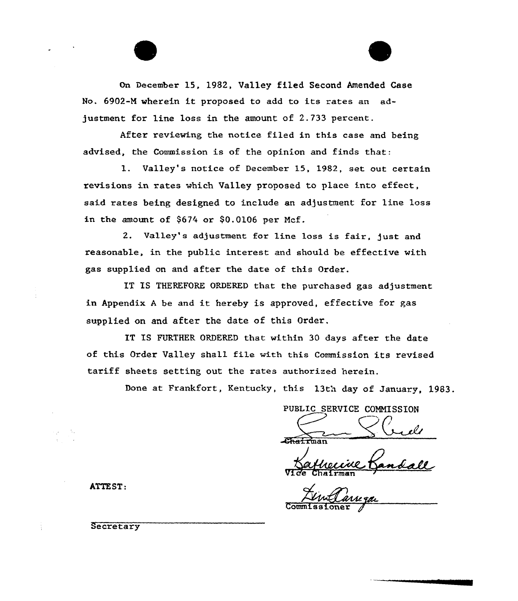On December 15, 1982, Valley filed Second Amended Case No. 6902-N wherein it proposed to add to its rates an adjustment for line loss in the amount of 2.733 percent.

After reviewing the notice filed in this case and being advised, the Commission is of the opinion and finds that:

1. Valley's notice of Decembex 15, 1982, set out certain revisions in rates which Valley proposed to place into effect, said rates being designed to include an adjustment for line 1oss in the amount of  $$674$  or  $$0.0106$  per Mcf.

2. Valley's adjustment for line loss is fair, just and reasonable, in the public interest and should be effective with gas supplied on and after the date of this Order.

IT IS THEREFORE ORDERED that the purchased gas adjustment in Appendix <sup>A</sup> be and it hereby is approved, effective for gas supplied on and after the date of this Order.

IT IS FURTHER ORDERED that within 30 days after the date of this Order Valley shall file with this Commission its revised tariff sheets setting out the rates authorized herein.

Done at Frankfort, Kentucky, this 13th day of January, 1983.

PUBLIC SERVICE CONNISSION RC

an

VI*de* Chairma

ATTEST:

**Secretary**